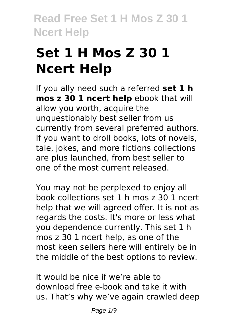# **Set 1 H Mos Z 30 1 Ncert Help**

If you ally need such a referred **set 1 h mos z 30 1 ncert help** ebook that will allow you worth, acquire the unquestionably best seller from us currently from several preferred authors. If you want to droll books, lots of novels, tale, jokes, and more fictions collections are plus launched, from best seller to one of the most current released.

You may not be perplexed to enjoy all book collections set 1 h mos z 30 1 ncert help that we will agreed offer. It is not as regards the costs. It's more or less what you dependence currently. This set 1 h mos z 30 1 ncert help, as one of the most keen sellers here will entirely be in the middle of the best options to review.

It would be nice if we're able to download free e-book and take it with us. That's why we've again crawled deep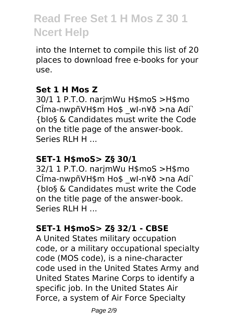into the Internet to compile this list of 20 places to download free e-books for your use.

### **Set 1 H Mos Z**

30/1 1 P.T.O. narjmWu H\$moS >H\$mo CÎma-nwpñVH\$m Ho\$ \_wI-n¥ð >na Adí` {bIo§ & Candidates must write the Code on the title page of the answer-book. Series RLH H ...

# **SET-1 H\$moS> Z§ 30/1**

32/1 1 P.T.O. narjmWu H\$moS >H\$mo CÎma-nwpñVH\$m Ho\$ wl-n¥ð >na Adí` {bIo§ & Candidates must write the Code on the title page of the answer-book. Series RLH H ...

### **SET-1 H\$moS> Z§ 32/1 - CBSE**

A United States military occupation code, or a military occupational specialty code (MOS code), is a nine-character code used in the United States Army and United States Marine Corps to identify a specific job. In the United States Air Force, a system of Air Force Specialty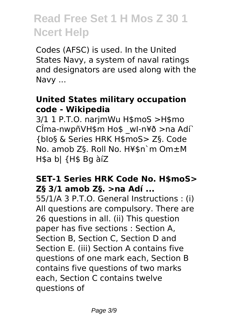Codes (AFSC) is used. In the United States Navy, a system of naval ratings and designators are used along with the Navy ...

#### **United States military occupation** code - Wikipedia

3/1 1 P.T.O. narimWu H\$moS >H\$mo CÎma-nwpñVH\$m Ho\$ wl-n¥ð >na Adí` {blo§ & Series HRK H\$moS> Z§, Code No. amob Z§. Roll No. H¥\$n`m Om±M H\$a bl {H\$ Bq àíZ

#### **SET-1 Series HRK Code No. H\$moS>** Z§ 3/1 amob Z§, >na Adí ...

55/1/A 3 P.T.O. General Instructions: (i) All questions are compulsory. There are 26 questions in all. (ii) This question paper has five sections : Section A, Section B. Section C. Section D and Section E. (iii) Section A contains five questions of one mark each, Section B contains five questions of two marks each. Section C contains twelve questions of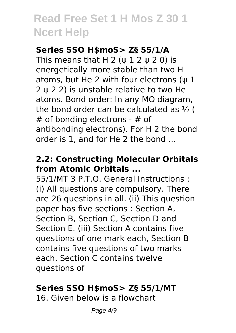### **Series SSO H\$moS> Z§ 55/1/A**

This means that H 2 ( $\psi$  1 2  $\psi$  2 0) is energetically more stable than two H atoms, but He 2 with four electrons (ψ 1 2 ψ 2 2) is unstable relative to two He atoms. Bond order: In any MO diagram, the bond order can be calculated as ½ ( # of bonding electrons - # of antibonding electrons). For H 2 the bond order is 1, and for He 2 the bond ...

### **2.2: Constructing Molecular Orbitals from Atomic Orbitals ...**

55/1/MT 3 P.T.O. General Instructions : (i) All questions are compulsory. There are 26 questions in all. (ii) This question paper has five sections : Section A, Section B, Section C, Section D and Section E. (iii) Section A contains five questions of one mark each, Section B contains five questions of two marks each, Section C contains twelve questions of

### **Series SSO H\$moS> Z§ 55/1/MT**

16. Given below is a flowchart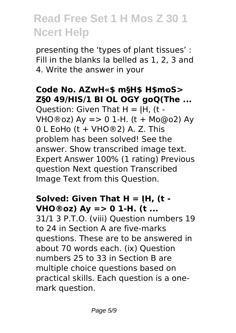presenting the 'types of plant tissues' : Fill in the blanks la belled as 1, 2, 3 and 4. Write the answer in your

### **Code No. AZwH«\$ m§H\$ H\$moS> Z§0 49/HIS/1 BI OL OGY goQ(The ...**

Ouestion: Given That  $H = IH$ , (t -VHO®oz) Ay => 0 1-H. (t + Mo@o2) Ay  $0$  L EoHo (t + VHO®2) A. Z. This problem has been solved! See the answer. Show transcribed image text. Expert Answer 100% (1 rating) Previous question Next question Transcribed Image Text from this Question.

# **Solved: Given That H = ĮH, (t - VHO®oz) Ay => 0 1-H. (t ...**

31/1 3 P.T.O. (viii) Question numbers 19 to 24 in Section A are five-marks questions. These are to be answered in about 70 words each. (ix) Question numbers 25 to 33 in Section B are multiple choice questions based on practical skills. Each question is a onemark question.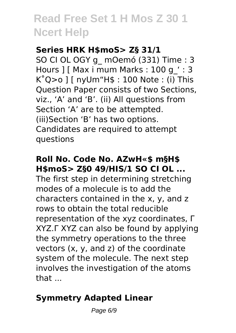#### **Series HRK H\$moS> Z§ 31/1**

SO CI OL OGY g\_ mOemó (331) Time : 3 Hours 1 [ Max i mum Marks : 100 g ' : 3  $K^{\circ}Q>0$  ] [ nyUm"H\$ : 100 Note : (i) This Question Paper consists of two Sections, viz., 'A' and 'B'. (ii) All questions from Section 'A' are to be attempted. (iii)Section 'B' has two options. Candidates are required to attempt questions

### **Roll No. Code No. AZwH«\$ m§H\$ H\$moS> Z§0 49/HIS/1 SO CI OL ...**

The first step in determining stretching modes of a molecule is to add the characters contained in the x, y, and z rows to obtain the total reducible representation of the xyz coordinates, Γ XYZ.Γ XYZ can also be found by applying the symmetry operations to the three vectors (x, y, and z) of the coordinate system of the molecule. The next step involves the investigation of the atoms that ...

# **Symmetry Adapted Linear**

Page 6/9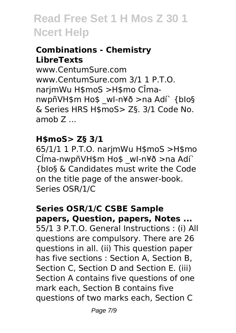### **Combinations - Chemistry LibreTexts**

www.CentumSure.com www.CentumSure.com 3/1 1 P.T.O. narjmWu H\$moS >H\$mo CÎmanwpñVH\$m Ho\$ \_wI-n¥ð >na Adí` {bIo§ & Series HRS H\$moS> Z§. 3/1 Code No. amob Z ...

#### **H\$moS> Z§ 3/1**

65/1/1 1 P.T.O. narjmWu H\$moS >H\$mo CÎma-nwpñVH\$m Ho\$ \_wI-n¥ð >na Adí` {bIo§ & Candidates must write the Code on the title page of the answer-book. Series OSR/1/C

#### **Series OSR/1/C CSBE Sample papers, Question, papers, Notes ...**

55/1 3 P.T.O. General Instructions : (i) All questions are compulsory. There are 26 questions in all. (ii) This question paper has five sections : Section A, Section B, Section C, Section D and Section E. (iii) Section A contains five questions of one mark each, Section B contains five questions of two marks each, Section C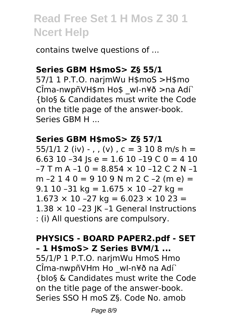contains twelve questions of ...

#### Series GBM H\$moS> Z§ 55/1

57/1 1 P.T.O. narjmWu H\$moS >H\$mo CÎma-nwpñVH\$m Ho\$ wl-n¥ð >na Adí` {blo§ & Candidates must write the Code on the title page of the answer-book. Series GRM H

#### Series GBM H\$moS> Z§ 57/1

 $55/1/1$  2 (iv) - , , (v) , c = 3 10 8 m/s h = 6.63 10 -34  $\vert$ s e = 1.6 10 -19 C 0 = 4 10  $-7$  T m A  $-1$  0 = 8.854  $\times$  10  $-12$  C 2 N  $-1$ m  $-2$  1 4 0 = 9 10 9 N m 2 C  $-2$  (m e) = 9.1 10 -31 kg =  $1.675 \times 10$  -27 kg =  $1.673 \times 10 - 27$  kg = 6.023  $\times$  10 23 =  $1.38 \times 10$  -23 |K -1 General Instructions : (i) All questions are compulsory.

#### **PHYSICS - BOARD PAPER2.pdf - SET** - 1 H\$moS> Z Series BVM/1 ...

55/1/P 1 P.T.O. narjmWu HmoS Hmo CÎma-nwpñVHm Ho wl-n¥ð na Adí` {blo§ & Candidates must write the Code on the title page of the answer-book. Series SSO H moS Z§, Code No, amob